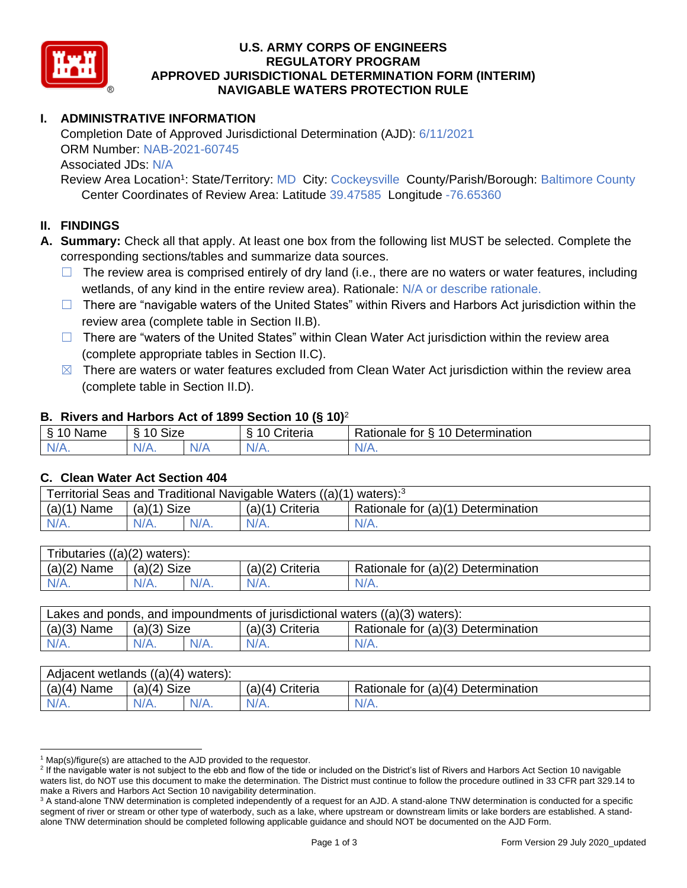

### **U.S. ARMY CORPS OF ENGINEERS REGULATORY PROGRAM APPROVED JURISDICTIONAL DETERMINATION FORM (INTERIM) NAVIGABLE WATERS PROTECTION RULE**

# **I. ADMINISTRATIVE INFORMATION**

Completion Date of Approved Jurisdictional Determination (AJD): 6/11/2021 ORM Number: NAB-2021-60745 Associated JDs: N/A

Review Area Location<sup>1</sup>: State/Territory: MD City: Cockeysville County/Parish/Borough: Baltimore County Center Coordinates of Review Area: Latitude 39.47585 Longitude -76.65360

### **II. FINDINGS**

**A. Summary:** Check all that apply. At least one box from the following list MUST be selected. Complete the corresponding sections/tables and summarize data sources.

- $\Box$  The review area is comprised entirely of dry land (i.e., there are no waters or water features, including wetlands, of any kind in the entire review area). Rationale: N/A or describe rationale.
- $\Box$  There are "navigable waters of the United States" within Rivers and Harbors Act jurisdiction within the review area (complete table in Section II.B).
- ☐ There are "waters of the United States" within Clean Water Act jurisdiction within the review area (complete appropriate tables in Section II.C).
- $\boxtimes$  There are waters or water features excluded from Clean Water Act jurisdiction within the review area (complete table in Section II.D).

#### **B. Rivers and Harbors Act of 1899 Section 10 (§ 10)**<sup>2</sup>

| -S<br>$\sim$<br>Name<br>υ | Size<br>$\sim$<br>c |     | ⌒<br>$\sim$<br>`riteria | 10<br>$\overline{\phantom{a}}$<br>-<br><b>Jetermination</b><br>⊀atıonale<br>tor<br>ٮ |
|---------------------------|---------------------|-----|-------------------------|--------------------------------------------------------------------------------------|
| $N/A$ .                   | $N/A$ .             | N/F | N/A.                    | N/A.                                                                                 |

#### **C. Clean Water Act Section 404**

| Territorial Seas and Traditional Navigable Waters ((a)(1) waters): <sup>3</sup> |                |  |                   |                                    |  |
|---------------------------------------------------------------------------------|----------------|--|-------------------|------------------------------------|--|
| (a)(1)<br>Name                                                                  | Size<br>(a)(1) |  | $(a)(1)$ Criteria | Rationale for (a)(1) Determination |  |
|                                                                                 | $N/A$ .        |  | $N/A$ .           | $N/A$ .                            |  |

| Tributaries<br>$((a)(2)$ waters): |                |  |                   |                                    |  |  |
|-----------------------------------|----------------|--|-------------------|------------------------------------|--|--|
| (a)(2)<br>Name                    | (a)(2)<br>Size |  | $(a)(2)$ Criteria | Rationale for (a)(2) Determination |  |  |
| $N/A$ .                           | $N/A$ .        |  | $N/A$ .           | N/A.                               |  |  |

| Lakes and ponds, and impoundments of jurisdictional waters ((a)(3) waters): |               |         |                 |                                    |  |
|-----------------------------------------------------------------------------|---------------|---------|-----------------|------------------------------------|--|
| $(a)(3)$ Name                                                               | $(a)(3)$ Size |         | (a)(3) Criteria | Rationale for (a)(3) Determination |  |
| $N/A$ .                                                                     |               | $N/A$ . | $N/A$ .         | $N/A$ .                            |  |

| Adjacent wetlands $((a)(4))$<br>waters): |                       |         |                    |                                    |  |  |
|------------------------------------------|-----------------------|---------|--------------------|------------------------------------|--|--|
| (a)(4)<br>Name                           | <b>Size</b><br>(a)(4) |         | (a)(4)<br>Criteria | Rationale for (a)(4) Determination |  |  |
| N/A.                                     | $N/A$ .               | $N/A$ . | N/A.               | $N/A$ .                            |  |  |

 $1$  Map(s)/figure(s) are attached to the AJD provided to the requestor.

<sup>&</sup>lt;sup>2</sup> If the navigable water is not subject to the ebb and flow of the tide or included on the District's list of Rivers and Harbors Act Section 10 navigable waters list, do NOT use this document to make the determination. The District must continue to follow the procedure outlined in 33 CFR part 329.14 to make a Rivers and Harbors Act Section 10 navigability determination.

<sup>&</sup>lt;sup>3</sup> A stand-alone TNW determination is completed independently of a request for an AJD. A stand-alone TNW determination is conducted for a specific segment of river or stream or other type of waterbody, such as a lake, where upstream or downstream limits or lake borders are established. A standalone TNW determination should be completed following applicable guidance and should NOT be documented on the AJD Form.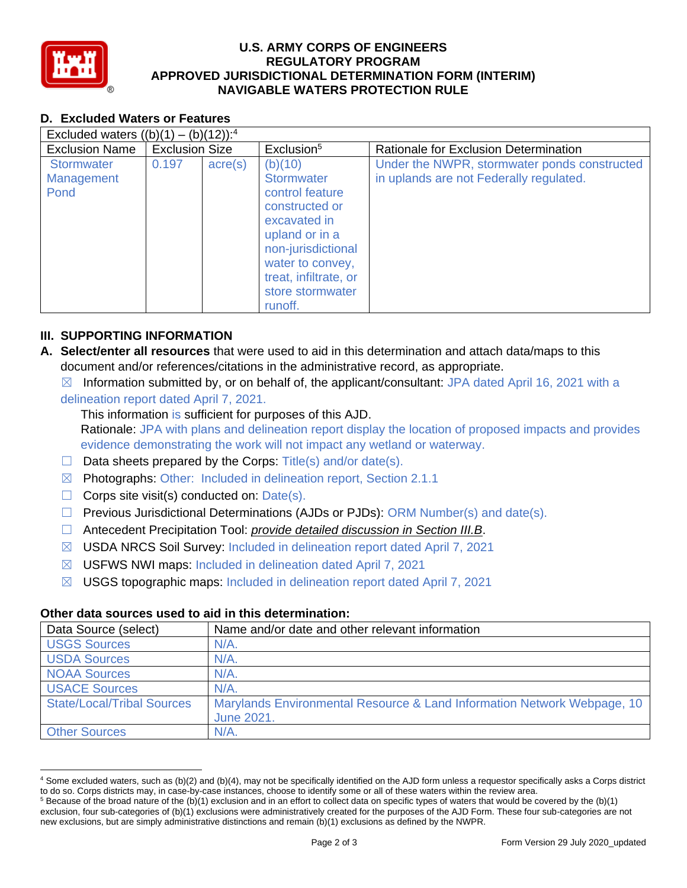

### **U.S. ARMY CORPS OF ENGINEERS REGULATORY PROGRAM APPROVED JURISDICTIONAL DETERMINATION FORM (INTERIM) NAVIGABLE WATERS PROTECTION RULE**

# **D. Excluded Waters or Features**

| Excluded waters $((b)(1) - (b)(12))$ : <sup>4</sup> |                       |                  |                                                                                                                                                                                                |                                                                                         |  |
|-----------------------------------------------------|-----------------------|------------------|------------------------------------------------------------------------------------------------------------------------------------------------------------------------------------------------|-----------------------------------------------------------------------------------------|--|
| <b>Exclusion Name</b>                               | <b>Exclusion Size</b> |                  | Exclusion <sup>5</sup>                                                                                                                                                                         | Rationale for Exclusion Determination                                                   |  |
| <b>Stormwater</b><br>Management<br>Pond             | 0.197                 | $\text{acre}(s)$ | (b)(10)<br>Stormwater<br>control feature<br>constructed or<br>excavated in<br>upland or in a<br>non-jurisdictional<br>water to convey,<br>treat, infiltrate, or<br>store stormwater<br>runoff. | Under the NWPR, stormwater ponds constructed<br>in uplands are not Federally regulated. |  |

## **III. SUPPORTING INFORMATION**

- **A. Select/enter all resources** that were used to aid in this determination and attach data/maps to this document and/or references/citations in the administrative record, as appropriate.
	- $\boxtimes$  Information submitted by, or on behalf of, the applicant/consultant: JPA dated April 16, 2021 with a delineation report dated April 7, 2021.

This information is sufficient for purposes of this AJD.

Rationale: JPA with plans and delineation report display the location of proposed impacts and provides evidence demonstrating the work will not impact any wetland or waterway.

- $\Box$  Data sheets prepared by the Corps: Title(s) and/or date(s).
- ☒ Photographs: Other: Included in delineation report, Section 2.1.1
- $\Box$  Corps site visit(s) conducted on: Date(s).
- $\Box$  Previous Jurisdictional Determinations (AJDs or PJDs): ORM Number(s) and date(s).
- ☐ Antecedent Precipitation Tool: *provide detailed discussion in Section III.B*.
- ☒ USDA NRCS Soil Survey: Included in delineation report dated April 7, 2021
- ☒ USFWS NWI maps: Included in delineation dated April 7, 2021
- ☒ USGS topographic maps: Included in delineation report dated April 7, 2021

#### **Other data sources used to aid in this determination:**

| Data Source (select)              | Name and/or date and other relevant information                                       |
|-----------------------------------|---------------------------------------------------------------------------------------|
| <b>USGS Sources</b>               | $N/A$ .                                                                               |
| <b>USDA Sources</b>               | $N/A$ .                                                                               |
| <b>NOAA Sources</b>               | $N/A$ .                                                                               |
| <b>USACE Sources</b>              | $N/A$ .                                                                               |
| <b>State/Local/Tribal Sources</b> | Marylands Environmental Resource & Land Information Network Webpage, 10<br>June 2021. |
| <b>Other Sources</b>              | N/A.                                                                                  |

<sup>4</sup> Some excluded waters, such as (b)(2) and (b)(4), may not be specifically identified on the AJD form unless a requestor specifically asks a Corps district to do so. Corps districts may, in case-by-case instances, choose to identify some or all of these waters within the review area.

 $5$  Because of the broad nature of the (b)(1) exclusion and in an effort to collect data on specific types of waters that would be covered by the (b)(1) exclusion, four sub-categories of (b)(1) exclusions were administratively created for the purposes of the AJD Form. These four sub-categories are not new exclusions, but are simply administrative distinctions and remain (b)(1) exclusions as defined by the NWPR.